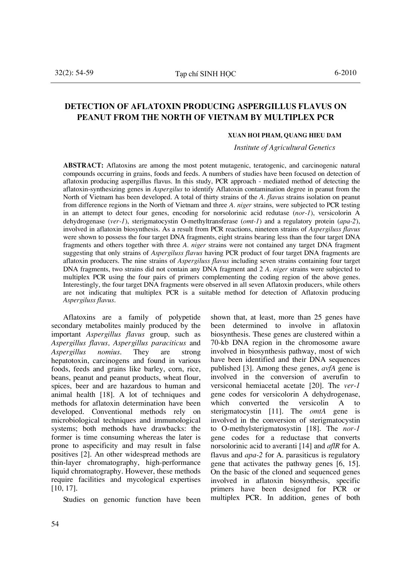# **DETECTION OF AFLATOXIN PRODUCING ASPERGILLUS FLAVUS ON PEANUT FROM THE NORTH OF VIETNAM BY MULTIPLEX PCR**

#### **Xuan Hoi Pham, Quang Hieu Dam**

*Institute of Agricultural Genetics* 

**Abstract:** Aflatoxins are among the most potent mutagenic, teratogenic, and carcinogenic natural compounds occurring in grains, foods and feeds. A numbers of studies have been focused on detection of aflatoxin producing aspergillus flavus. In this study, PCR approach - mediated method of detecting the aflatoxin-synthesizing genes in *Aspergilus* to identify Aflatoxin contamination degree in peanut from the North of Vietnam has been developed. A total of thirty strains of the *A. flavus* strains isolation on peanut from difference regions in the North of Vietnam and three *A. niger* strains, were subjected to PCR testing in an attempt to detect four genes, encoding for norsolorinic acid redutase (*nor-1*), versicolorin A dehydrogenase (*ver-1*), sterigmatocystin O-methyltransferase (*omt-1*) and a regulatory protein (*apa-2*), involved in aflatoxin biosynthesis. As a result from PCR reactions, nineteen strains of *Aspergiluss flavus* were shown to possess the four target DNA fragments, eight strains bearing less than the four target DNA fragments and others together with three *A. niger* strains were not contained any target DNA fragment suggesting that only strains of *Aspergiluss flavus* having PCR product of four target DNA fragments are aflatoxin producers. The nine strains of *Aspergiluss flavus* including seven strains containing four target DNA fragments, two strains did not contain any DNA fragment and 2 *A. niger* strains were subjected to multiplex PCR using the four pairs of primers complementing the coding region of the above genes. Interestingly, the four target DNA fragments were observed in all seven Aflatoxin producers, while others are not indicating that multiplex PCR is a suitable method for detection of Aflatoxin producing *Aspergiluss flavus*.

Aflatoxins are a family of polypetide secondary metabolites mainly produced by the important *Aspergillus flavus* group*,* such as *Aspergillus flavus, Aspergillus paraciticus* and *Aspergillus nomius*. They are strong hepatotoxin, carcinogens and found in various foods, feeds and grains like barley, corn, rice, beans, peanut and peanut products, wheat flour, spices, beer and are hazardous to human and animal health [18]. A lot of techniques and methods for aflatoxin determination have been developed. Conventional methods rely on microbiological techniques and immunological systems; both methods have drawbacks: the former is time consuming whereas the later is prone to aspecificity and may result in false positives [2]. An other widespread methods are thin-layer chromatography, high-performance liquid chromatography. However, these methods require facilities and mycological expertises [10, 17].

Studies on genomic function have been

shown that, at least, more than 25 genes have been determined to involve in aflatoxin biosynthesis. These genes are clustered within a 70-kb DNA region in the chromosome aware involved in biosynthesis pathway, most of wich have been identified and their DNA sequences published [3]. Among these genes, *avfA* gene is involved in the conversion of averufin to versiconal hemiacetal acetate [20]. The *ver-1* gene codes for versicolorin A dehydrogenase, which converted the versicolin A to sterigmatocystin [11]. The *omtA* gene is involved in the conversion of sterigmatocystin to O-methylsterigmatosystin [18]. The *nor-1* gene codes for a reductase that converts norsolorinic acid to averanti [14] and *aflR* for A. flavus and *apa-2* for A. parasiticus is regulatory gene that activates the pathway genes [6, 15]. On the basic of the cloned and sequenced genes involved in aflatoxin biosynthesis, specific primers have been designed for PCR or multiplex PCR. In addition, genes of both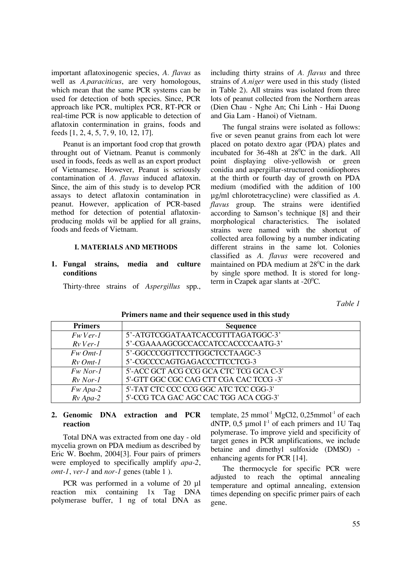important aflatoxinogenic species, *A. flavus* as well as *A.paraciticus*, are very homologous, which mean that the same PCR systems can be used for detection of both species. Since, PCR approach like PCR, multiplex PCR, RT-PCR or real-time PCR is now applicable to detection of aflatoxin contermination in grains, foods and feeds [1, 2, 4, 5, 7, 9, 10, 12, 17].

Peanut is an important food crop that growth throught out of Vietnam. Peanut is commonly used in foods, feeds as well as an export product of Vietnamese. However, Peanut is seriously contamination of *A. flavus* induced aflatoxin. Since, the aim of this study is to develop PCR assays to detect aflatoxin contamination in peanut. However, application of PCR-based method for detection of potential aflatoxinproducing molds wil be applied for all grains, foods and feeds of Vietnam.

#### **i. Materials and methods**

#### **1. Fungal strains, media and culture conditions**

Thirty-three strains of *Aspergillus* spp.,

including thirty strains of *A. flavus* and three strains of *A.niger* were used in this study (listed in Table 2). All strains was isolated from three lots of peanut collected from the Northern areas (Dien Chau - Nghe An; Chi Linh - Hai Duong and Gia Lam - Hanoi) of Vietnam.

The fungal strains were isolated as follows: five or seven peanut grains from each lot were placed on potato dextro agar (PDA) plates and incubated for 36-48h at  $28^{\circ}$ C in the dark. All point displaying olive-yellowish or green conidia and aspergillar-structured conidiophores at the thirth or fourth day of growth on PDA medium (modified with the addition of 100 µg/ml chlorotetracycline) were classified as *A. flavus* group. The strains were identified according to Samson's technique [8] and their morphological characteristics. The isolated strains were named with the shortcut of collected area following by a number indicating different strains in the same lot. Colonies classified as *A. flavus* were recovered and maintained on PDA medium at  $28^{\circ}$ C in the dark by single spore method. It is stored for longterm in Czapek agar slants at  $-20^{\circ}$ C.

*Table 1* 

| <b>Primers</b> | <b>Sequence</b>                         |
|----------------|-----------------------------------------|
| $Fw$ Ver-1     | 5'-ATGTCGGATAATCACCGTTTAGATGGC-3'       |
| $Rv$ Ver-1     | 5'-CGAAAAGCGCCACCATCCACCCCAATG-3'       |
| $Fw$ Omt-1     | 5'-GGCCCGGTTCCTTGGCTCCTAAGC-3           |
| $Rv$ Omt-1     | 5'-CGCCCCAGTGAGACCCTTCCTCG-3            |
| $Fw$ Nor-1     | 5'-ACC GCT ACG CCG GCA CTC TCG GCA C-3' |
| $Rv$ Nor-1     | 5'-GTT GGC CGC CAG CTT CGA CAC TCCG -3' |
| $Fw$ Apa-2     | 5'-TAT CTC CCC CCG GGC ATC TCC CGG-3'   |
| $Rv$ Apa-2     | 5'-CCG TCA GAC AGC CAC TGG ACA CGG-3'   |

#### **Primers name and their sequence used in this study**

## **2. Genomic DNA extraction and PCR reaction**

Total DNA was extracted from one day - old mycelia grown on PDA medium as described by Eric W. Boehm, 2004[3]. Four pairs of primers were employed to specifically amplify *apa-2*, *omt-1*, *ver-1* and *nor-1* genes (table 1 ).

PCR was performed in a volume of 20 µl reaction mix containing 1x Tag DNA polymerase buffer, 1 ng of total DNA as template,  $25 \text{ mmol}^{-1} \text{ MgCl2}, 0,25 \text{ mmol}^{-1}$  of each dNTP,  $0.5 \mu$ mol l<sup>-1</sup> of each primers and 1U Taq polymerase. To improve yield and specificity of target genes in PCR amplifications, we include betaine and dimethyl sulfoxide (DMSO) enhancing agents for PCR [14].

The thermocycle for specific PCR were adjusted to reach the optimal annealing temperature and optimal annealing, extension times depending on specific primer pairs of each gene.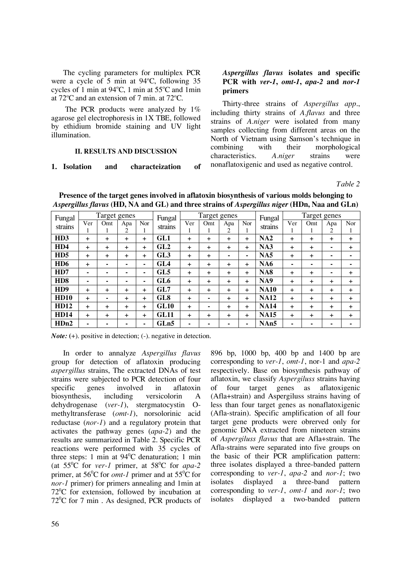The cycling parameters for multiplex PCR were a cycle of 5 min at  $94^{\circ}$ C, following 35 cycles of 1 min at  $94^{\circ}$ C, 1 min at  $55^{\circ}$ C and 1 min at  $72^{\circ}$ C and an extension of 7 min. at  $72^{\circ}$ C.

The PCR products were analyzed by  $1\%$ agarose gel electrophoresis in 1X TBE, followed by ethidium bromide staining and UV light illumination.

## **Ii. Results and Discussion**

## **1. Isolation and characteization of**

## *Aspergillus flavus* **isolates and specific PCR with** *ver-1***,** *omt-1***,** *apa***-***2* **and** *nor-1* **primers**

Thirty-three strains of *Aspergillus app*., including thirty strains of *A.flavus* and three strains of *A.niger* were isolated from many samples collecting from different areas on the North of Vietnam using Samson's technique in combining with their morphological characteristics. *A.niger* strains were nonaflatoxigenic and used as negative control.

*Table 2* 

| Fungal           | Target genes |           |           | Fungal         | Target genes    |           |     |                       | Fungal         | Target genes |           |           |           |       |
|------------------|--------------|-----------|-----------|----------------|-----------------|-----------|-----|-----------------------|----------------|--------------|-----------|-----------|-----------|-------|
| strains          | Ver          | Omt       | Apa<br>2  | Nor            | strains         | Ver       | Omt | Apa<br>$\overline{c}$ | Nor            | strains      | Ver       | Omt       | Apa<br>2  | Nor   |
| H <sub>D</sub> 3 | $\ddot{}$    | ÷         | $\ddot{}$ | $\pm$          | GL1             | +         | +   | $\ddot{}$             | +              | NA2          | ÷.        | $\ddot{}$ | $\ddot{}$ | ÷.    |
| H <sub>D</sub> 4 | $\ddot{}$    | ÷         | $\ddot{}$ | $\pm$          | GL2             | +         | +   | $\ddot{}$             | +              | NA3          | ÷.        | $\ddot{}$ | ۰         | $\pm$ |
| H <sub>D5</sub>  | $\ddot{}$    | $\ddot{}$ | $\ddot{}$ | $\ddot{}$      | GL3             | $\ddot{}$ | +   | ۰                     | $\blacksquare$ | <b>NA5</b>   | ÷.        | +         | -         | ۰     |
| H <sub>D6</sub>  | $\ddot{}$    | ٠         |           | $\blacksquare$ | GL4             | +         | +   | $\div$                | +              | <b>NA6</b>   |           | -         |           |       |
| H <sub>D</sub> 7 | ۰            | ۰         | ۰         | $\blacksquare$ | GL5             | $\ddot{}$ | +   | $\ddot{}$             | +              | <b>NA8</b>   | $\ddot{}$ | $\pm$     |           | +     |
| H <sub>D</sub> 8 |              |           |           | ٠              | GL <sub>6</sub> | +         | +   | $\ddot{}$             | +              | NA9          | $\ddot{}$ | $\ddot{}$ | $\ddot{}$ | +     |
| H <sub>D</sub> 9 | $\ddot{}$    | ÷         | $\ddot{}$ | ÷              | GL7             | +         | +   | $\ddot{}$             | +              | <b>NA10</b>  | $\ddot{}$ | $\ddot{}$ | $\ddot{}$ | $\pm$ |
| <b>HD10</b>      | $\ddot{}$    | ۰         | $\ddot{}$ | $\pm$          | GL8             | +         | ۰   | +                     | +              | <b>NA12</b>  | $\ddot{}$ | +         | $\ddot{}$ | ÷.    |
| <b>HD12</b>      | $\ddot{}$    | ÷         | $\ddot{}$ | $\pm$          | <b>GL10</b>     | $\ddot{}$ | ۰   | $\ddot{}$             | +              | <b>NA14</b>  | $+$       | $\ddot{}$ | $\ddot{}$ | $\pm$ |
| <b>HD14</b>      | $\ddot{}$    | ÷         | $\ddot{}$ | $\ddot{}$      | <b>GL11</b>     | $\ddot{}$ | +   | $\ddot{}$             | +              | <b>NA15</b>  | $\ddot{}$ | $\ddot{}$ | $\ddot{}$ | $\pm$ |
| $H$ Dn2          |              |           |           | ٠              | GLn5            | ۰         |     |                       | ۰              | NAn5         |           |           |           |       |

**Presence of the target genes involved in aflatoxin biosynthesis of various molds belonging to**  *Aspergillus flavus* **(HD, NA and GL) and three strains of** *Aspergillus niger* **(HDn, Naa and GLn)**

*Note:* (+). positive in detection; (-). negative in detection.

In order to annalyze *Aspergillus flavus* group for detection of aflatoxin producing *aspergillus* strains, The extracted DNAs of test strains were subjected to PCR detection of four specific genes involved in aflatoxin biosynthesis, including versicolorin A dehydrogenase (*ver-1*), stergmatocystin Omethyltransferase (*omt-1*), norsolorinic acid reductase (*nor-1*) and a regulatory protein that activates the pathway genes (*apa-2*) and the results are summarized in Table 2. Specific PCR reactions were performed with 35 cycles of three steps: 1 min at  $94^{\circ}$ C denaturation; 1 min (at  $55^{\circ}$ C for *ver-1* primer, at  $58^{\circ}$ C for *apa-2* primer, at  $56^{\circ}$ C for *omt-1* primer and at  $55^{\circ}$ C for *nor-1* primer) for primers annealing and 1min at  $72^{\circ}$ C for extension, followed by incubation at  $72^{\circ}$ C for 7 min. As designed, PCR products of

896 bp, 1000 bp, 400 bp and 1400 bp are corresponding to *ver-1*, *omt-1*, nor-1 and *apa-2* respectively. Base on biosynthesis pathway of aflatoxin, we classify *Aspergiluss* strains having of four target genes as aflatoxigenic (Afla+strain) and Aspergiluss strains having of less than four target genes as nonaflatoxigenic (Afla-strain). Specific amplification of all four target gene products were obrerved only for genomic DNA extracted from nineteen strains of *Aspergiluss flavus* that are Afla+strain. The Afla-strains were separated into five groups on the basic of their PCR amplification pattern: three isolates displayed a three-banded pattern corresponding to *ver-1*, *apa-2* and *nor-1*; two isolates displayed a three-band pattern corresponding to *ver-1*, *omt-1* and *nor-1*; two isolates displayed a two-banded pattern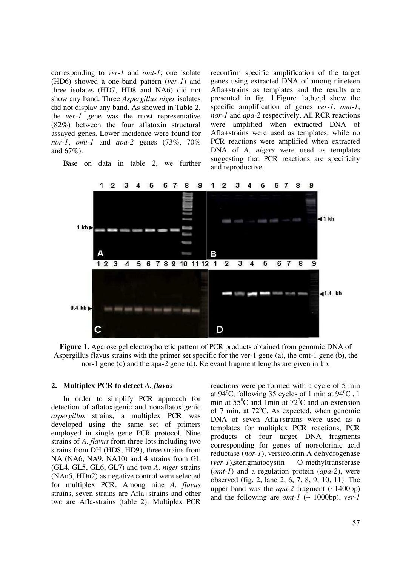corresponding to *ver-1* and *omt-1*; one isolate (HD6) showed a one-band pattern (*ver-1*) and three isolates (HD7, HD8 and NA6) did not show any band. Three *Aspergillus niger* isolates did not display any band. As showed in Table 2, the *ver-1* gene was the most representative (82%) between the four aflatoxin structural assayed genes. Lower incidence were found for *nor-1*, *omt-1* and *apa-2* genes (73%, 70% and 67%).

Base on data in table 2, we further

reconfirm specific amplification of the target genes using extracted DNA of among nineteen Afla+strains as templates and the results are presented in fig. 1.Figure 1a,b,c,d show the specific amplification of genes *ver-1*, *omt-1*, *nor-1* and *apa-2* respectively. All RCR reactions were amplified when extracted DNA of Afla+strains were used as templates, while no PCR reactions were amplified when extracted DNA of *A. nigers* were used as templates suggesting that PCR reactions are specificity and reproductive.



**Figure 1.** Agarose gel electrophoretic pattern of PCR products obtained from genomic DNA of Aspergillus flavus strains with the primer set specific for the ver-1 gene (a), the omt-1 gene (b), the nor-1 gene (c) and the apa-2 gene (d). Relevant fragment lengths are given in kb.

## **2. Multiplex PCR to detect** *A. flavus*

In order to simplify PCR approach for detection of aflatoxigenic and nonaflatoxigenic *aspergillus* strains, a multiplex PCR was developed using the same set of primers employed in single gene PCR protocol. Nine strains of *A. flavus* from three lots including two strains from DH (HD8, HD9), three strains from NA (NA6, NA9, NA10) and 4 strains from GL (GL4, GL5, GL6, GL7) and two *A. niger* strains (NAn5, HDn2) as negative control were selected for multiplex PCR. Among nine *A. flavus* strains, seven strains are Afla+strains and other two are Afla-strains (table 2). Multiplex PCR reactions were performed with a cycle of 5 min at 94<sup>0</sup>C, following 35 cycles of 1 min at  $94^{\circ}$ C, 1 min at  $55^{\circ}$ C and 1min at  $72^{\circ}$ C and an extension of 7 min. at  $72^{\circ}$ C. As expected, when genomic DNA of seven Afla+strains were used as a templates for multiplex PCR reactions, PCR products of four target DNA fragments corresponding for genes of norsolorinic acid reductase (*nor-1*), versicolorin A dehydrogenase (*ver-1*),sterigmatocystin O-methyltransferase (*omt-1*) and a regulation protein (*apa-2*), were observed (fig. 2, lane 2, 6, 7, 8, 9, 10, 11). The upper band was the *apa-2* fragment (~1400bp) and the following are *omt-1* ( $\sim$  1000bp), *ver-1*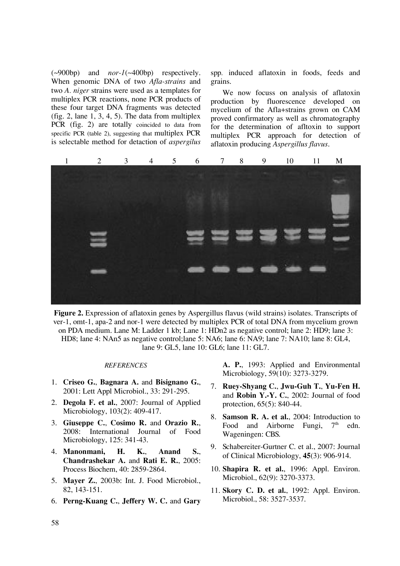(~900bp) and *nor-1*(~400bp) respectively. When genomic DNA of two *Afla-strains* and two *A. niger* strains were used as a templates for multiplex PCR reactions, none PCR products of these four target DNA fragments was detected (fig. 2, lane  $1, 3, 4, 5$ ). The data from multiplex PCR (fig. 2) are totally coincided to data from specific PCR (table 2), suggesting that multiplex PCR is selectable method for detaction of *aspergilus* 

spp*.* induced aflatoxin in foods, feeds and grains.

We now focuss on analysis of aflatoxin production by fluorescence developed on mycelium of the Afla+strains grown on CAM proved confirmatory as well as chromatography for the determination of afltoxin to support multiplex PCR approach for detection of aflatoxin producing *Aspergillus flavus*.



**Figure 2.** Expression of aflatoxin genes by Aspergillus flavus (wild strains) isolates. Transcripts of ver-1, omt-1, apa-2 and nor-1 were detected by multiplex PCR of total DNA from mycelium grown on PDA medium. Lane M: Ladder 1 kb; Lane 1: HDn2 as negative control; lane 2: HD9; lane 3: HD8; lane 4: NAn5 as negative control;lane 5: NA6; lane 6: NA9; lane 7: NA10; lane 8: GL4, lane 9: GL5, lane 10: GL6; lane 11: GL7.

#### *References*

- 1. **Criseo G.**, **Bagnara A.** and **Bisignano G.**, 2001: Lett Appl Microbiol., 33: 291-295.
- 2. **Degola F. et al.**, 2007: Journal of Applied Microbiology, 103(2): 409-417.
- 3. **Giuseppe C.**, **Cosimo R.** and **Orazio R.**, 2008: International Journal of Food Microbiology, 125: 341-43.
- 4. **Manonmani, H. K.**, **Anand S.**, **Chandrashekar A.** and **Rati E. R.**, 2005: Process Biochem, 40: 2859-2864.
- 5. **Mayer Z.**, 2003b: Int. J. Food Microbiol., 82, 143-151.
- 6. **Perng-Kuang C.**, **Jeffery W. C.** and **Gary**

**A. P.**, 1993: Applied and Environmental Microbiology, 59(10): 3273-3279.

- 7. **Ruey-Shyang C.**, **Jwu-Guh T.**, **Yu-Fen H.**  and **Robin Y.-Y. C.**, 2002: Journal of food protection, 65(5): 840-44.
- 8. **Samson R. A. et al.**, 2004: Introduction to Food and Airborne Fungi,  $7<sup>th</sup>$  edn. Wageningen: CBS.
- 9. Schabereiter-Gurtner C. et al., 2007: Journal of Clinical Microbiology, **45**(3): 906-914.
- 10. **Shapira R. et al.**, 1996: Appl. Environ. Microbiol., 62(9): 3270-3373.
- 11. **Skory C. D. et al.**, 1992: Appl. Environ. Microbiol., 58: 3527-3537.